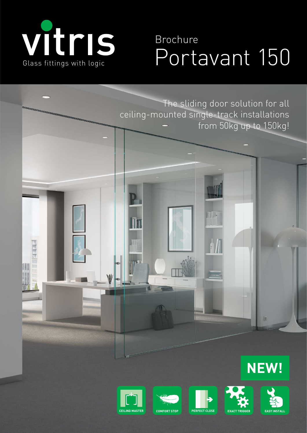

# With S Brochure<br>Glass fittings with logic Portavant 150 Brochure







**CEILING MASTER COMFORT STOP PERFECT CLOSE** 



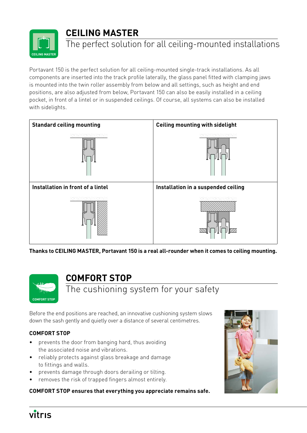# **CEILING MASTER**



# The perfect solution for all ceiling-mounted installations

Portavant 150 is the perfect solution for all ceiling-mounted single-track installations. As all components are inserted into the track profile laterally, the glass panel fitted with clamping jaws is mounted into the twin roller assembly from below and all settings, such as height and end positions, are also adjusted from below, Portavant 150 can also be easily installed in a ceiling pocket, in front of a lintel or in suspended ceilings. Of course, all systems can also be installed with sidelights.



**Thanks to CEILING MASTER, Portavant 150 is a real all-rounder when it comes to ceiling mounting.**



## **COMFORT STOP**

The cushioning system for your safety

Before the end positions are reached, an innovative cushioning system slows down the sash gently and quietly over a distance of several centimetres.

## **COMFORT STOP**

- prevents the door from banging hard, thus avoiding the associated noise and vibrations.
- reliably protects against glass breakage and damage to fittings and walls.
- prevents damage through doors derailing or tilting.
- removes the risk of trapped fingers almost entirely.

#### **COMFORT STOP ensures that everything you appreciate remains safe.**



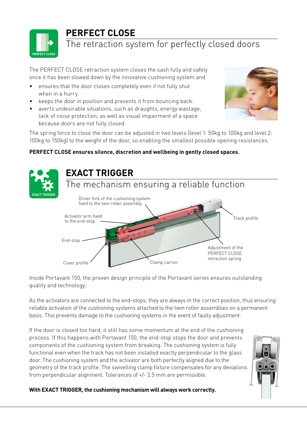

# **PERFECT CLOSE**

# The retraction system for perfectly closed doors

The PERFECT CLOSE retraction system closes the sash fully and safely once it has been slowed down by the innovative cushioning system and

- ensures that the door closes completely even if not fully shut when in a hurry.
- keeps the door in position and prevents it from bouncing back.
- averts undesirable situations, such as draughts, energy wastage, lack of noise protection, as well as visual impairment of a space because doors are not fully closed.



The spring force to close the door can be adjusted in two levels (level 1: 50kg to 100kg and level 2: 100kg to 150kg) to the weight of the door, so enabling the smallest possible opening resistances.

## **PERFECT CLOSE ensures silence, discretion and wellbeing in gently closed spaces.**



Inside Portavant 150, the proven design principle of the Portavant series ensures outstanding quality and technology:

As the activators are connected to the end-stops, they are always in the correct position, thus ensuring reliable activation of the cushioning systems attached to the twin roller assemblies on a permanent basis. This prevents damage to the cushioning systems in the event of faulty adjustment.

If the door is closed too hard, it still has some momentum at the end of the cushioning process. If this happens with Portavant 150, the end-stop stops the door and prevents components of the cushioning system from breaking. The cushioning system is fully functional even when the track has not been installed exactly perpendicular to the glass door. The cushioning system and the activator are both perfectly aligned due to the geometry of the track profile. The swivelling clamp fixture compensates for any deviations from perpendicular alignment. Tolerances of +/- 2.5 mm are permissible.



**With EXACT TRIGGER, the cushioning mechanism will always work correctly.**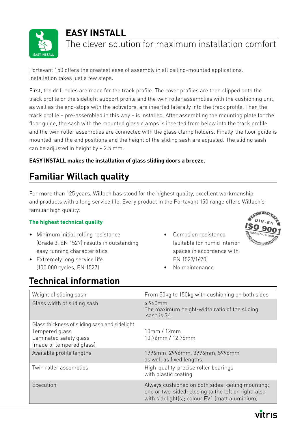



# The clever solution for maximum installation comfort

Portavant 150 offers the greatest ease of assembly in all ceiling-mounted applications. Installation takes just a few steps.

First, the drill holes are made for the track profile. The cover profiles are then clipped onto the track profile or the sidelight support profile and the twin roller assemblies with the cushioning unit, as well as the end-stops with the activators, are inserted laterally into the track profile. Then the track profile – pre-assembled in this way – is installed. After assembling the mounting plate for the floor guide, the sash with the mounted glass clamps is inserted from below into the track profile and the twin roller assemblies are connected with the glass clamp holders. Finally, the floor guide is mounted, and the end positions and the height of the sliding sash are adjusted. The sliding sash can be adjusted in height by  $\pm 2.5$  mm.

## **EASY INSTALL makes the installation of glass sliding doors a breeze.**

# **Familiar Willach quality**

For more than 125 years, Willach has stood for the highest quality, excellent workmanship and products with a long service life. Every product in the Portavant 150 range offers Willach's familiar high quality:

## **The highest technical quality**

- Minimum initial rolling resistance (Grade 3, EN 1527) results in outstanding easy running characteristics
- Extremely long service life (100,000 cycles, EN 1527)

• Corrosion resistance (suitable for humid interior spaces in accordance with EN 1527/1670)



• No maintenance

# **Technical information**

| Weight of sliding sash                                                                                                | From 50kg to 150kg with cushioning on both sides                                                                                                            |
|-----------------------------------------------------------------------------------------------------------------------|-------------------------------------------------------------------------------------------------------------------------------------------------------------|
| Glass width of sliding sash                                                                                           | $\geqslant$ 960mm<br>The maximum height-width ratio of the sliding<br>sash is 3:1.                                                                          |
| Glass thickness of sliding sash and sidelight<br>Tempered glass<br>Laminated safety glass<br>(made of tempered glass) | 10mm/12mm<br>10.76mm / 12.76mm                                                                                                                              |
| Available profile lengths                                                                                             | 1996mm, 2996mm, 3996mm, 5996mm<br>as well as fixed lengths                                                                                                  |
| Twin roller assemblies                                                                                                | High-quality, precise roller bearings<br>with plastic coating                                                                                               |
| Execution                                                                                                             | Always cushioned on both sides; ceiling mounting:<br>one or two-sided; closing to the left or right; also<br>with sidelight(s); colour EV1 (matt aluminium) |

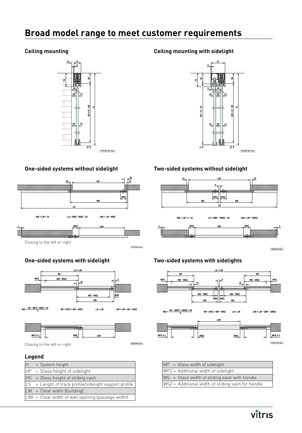## **Broad model range to meet customer requirements**

#### **Ceiling mounting**



### **One-sided systems without sidelight**



## **One-sided systems with sidelight**





Closing to the left or right

#### **Legend**

| lн        | = System height                                     |
|-----------|-----------------------------------------------------|
|           | $ HF  = Glass height of sidelight$                  |
|           | HS = Glass height of sliding sash                   |
| <b>LS</b> | = Length of track profile/sidelight support profile |
|           | $ LW $ = Clear width (building)                     |
|           | LWt = Clear width of wall opening (passage width)   |

#### **Ceiling mounting with sidelight**



#### **Two-sided systems without sidelight**



## **Two-sided systems with sidelights**



| $WF = Glass width of sidelight$                   |
|---------------------------------------------------|
| WFZ = Additional width of sidelight               |
| WS = Glass width of sliding sash with handle      |
| WSZ = Additional width of sliding sash for handle |